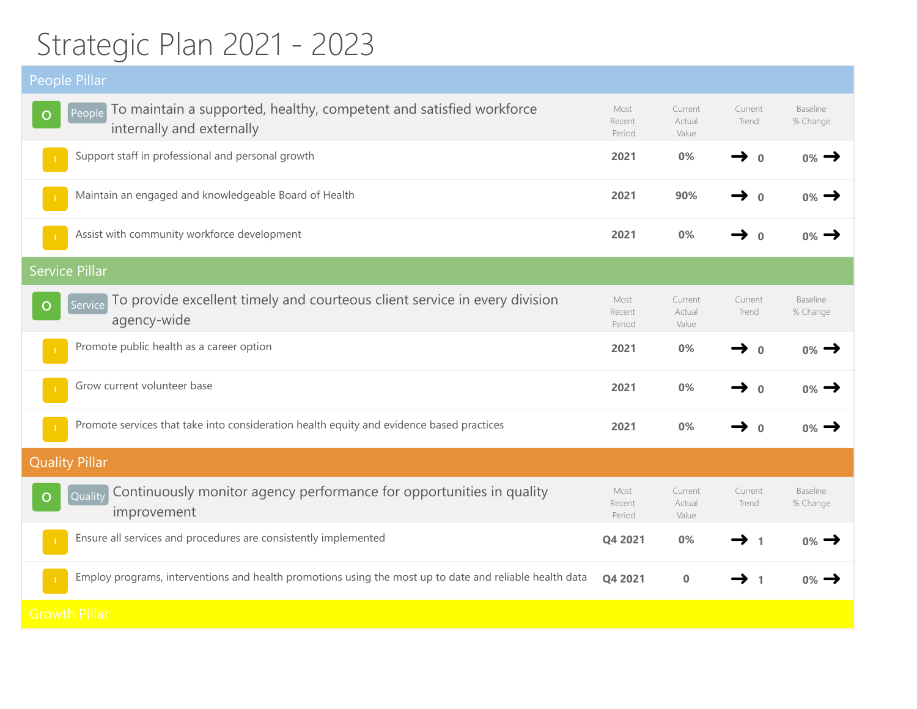## Strategic Plan 2021 - 2023

| <b>People Pillar</b>                                                                                                   |                          |                            |                           |                      |
|------------------------------------------------------------------------------------------------------------------------|--------------------------|----------------------------|---------------------------|----------------------|
| To maintain a supported, healthy, competent and satisfied workforce<br>People<br>$\circ$<br>internally and externally  | Most<br>Recent<br>Period | Current<br>Actual<br>Value | Current<br>Trend          | Baseline<br>% Change |
| Support staff in professional and personal growth                                                                      | 2021                     | 0%                         | $\rightarrow$<br>$\Omega$ | $0\% \rightarrow$    |
| Maintain an engaged and knowledgeable Board of Health                                                                  | 2021                     | 90%                        | $\rightarrow$ 0           | $0\%$ $\rightarrow$  |
| Assist with community workforce development                                                                            | 2021                     | 0%                         | → 0                       | $0\%$                |
| <b>Service Pillar</b>                                                                                                  |                          |                            |                           |                      |
| To provide excellent timely and courteous client service in every division<br>Service<br>$\overline{O}$<br>agency-wide | Most<br>Recent<br>Period | Current<br>Actual<br>Value | Current<br>Trend          | Baseline<br>% Change |
| Promote public health as a career option                                                                               | 2021                     | 0%                         | $\rightarrow$ 0           | $0\% \rightarrow$    |
| Grow current volunteer base                                                                                            | 2021                     | 0%                         | $\Omega$                  | $0\%$ $\rightarrow$  |
| Promote services that take into consideration health equity and evidence based practices                               | 2021                     | 0%                         | → 0                       | $0\%$ $\rightarrow$  |
| <b>Quality Pillar</b>                                                                                                  |                          |                            |                           |                      |
| Continuously monitor agency performance for opportunities in quality<br>Quality<br>O<br>improvement                    | Most<br>Recent<br>Period | Current<br>Actual<br>Value | Current<br>Trend          | Baseline<br>% Change |
| Ensure all services and procedures are consistently implemented                                                        | Q4 2021                  | 0%                         | $\rightarrow$ 1           | $0\% \rightarrow$    |
| Employ programs, interventions and health promotions using the most up to date and reliable health data                | Q4 2021                  | 0                          | $\rightarrow$ 1           | $0\%$ $\rightarrow$  |
| <b>Growth Pillar</b>                                                                                                   |                          |                            |                           |                      |